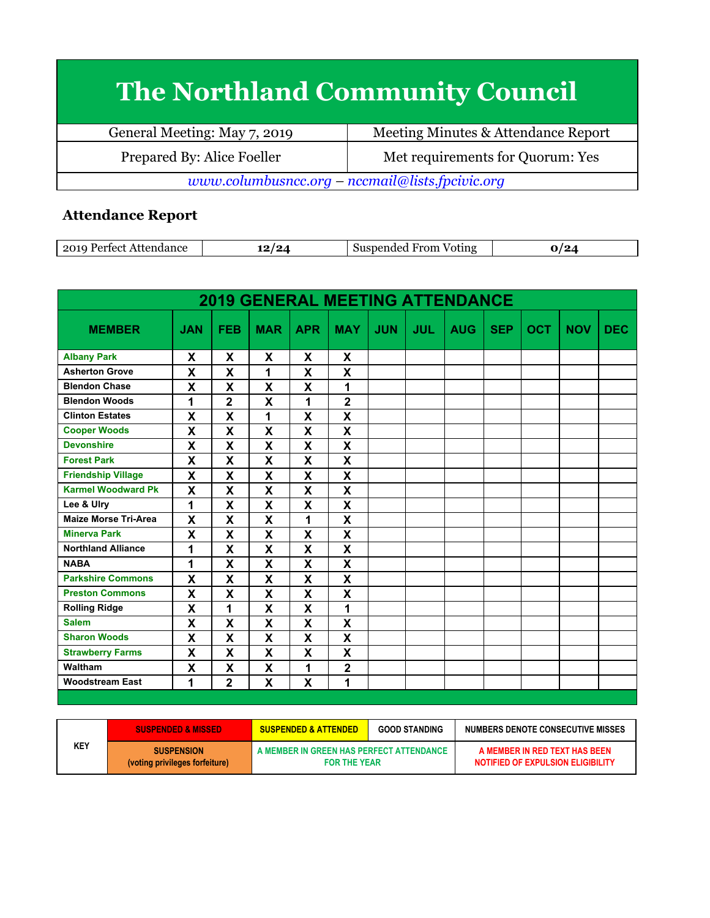## **The Northland Community Council**

| General Meeting: May 7, 2019                    | Meeting Minutes & Attendance Report |  |  |  |
|-------------------------------------------------|-------------------------------------|--|--|--|
| Prepared By: Alice Foeller                      | Met requirements for Quorum: Yes    |  |  |  |
| www.columbusncc.org - nccmail@lists.fpcivic.org |                                     |  |  |  |

## **Attendance Report**

|  | 2010<br>1000<br>$-0.4$ | ה<br>-- | ്കാം കാരക<br>Voting<br><b>From</b><br>.10 <sup>27</sup><br>111°، |  |
|--|------------------------|---------|------------------------------------------------------------------|--|
|--|------------------------|---------|------------------------------------------------------------------|--|

| <b>2019 GENERAL MEETING ATTENDANCE</b> |                           |                |                           |              |                           |            |            |            |            |            |            |            |
|----------------------------------------|---------------------------|----------------|---------------------------|--------------|---------------------------|------------|------------|------------|------------|------------|------------|------------|
| <b>MEMBER</b>                          | <b>JAN</b>                | <b>FEB</b>     | <b>MAR</b>                | <b>APR</b>   | <b>MAY</b>                | <b>JUN</b> | <b>JUL</b> | <b>AUG</b> | <b>SEP</b> | <b>OCT</b> | <b>NOV</b> | <b>DEC</b> |
| <b>Albany Park</b>                     | X                         | X              | X                         | X            | X                         |            |            |            |            |            |            |            |
| <b>Asherton Grove</b>                  | X                         | X              | 1                         | X            | $\boldsymbol{\mathsf{X}}$ |            |            |            |            |            |            |            |
| <b>Blendon Chase</b>                   | $\boldsymbol{\mathsf{X}}$ | X              | $\boldsymbol{\mathsf{x}}$ | X            | 1                         |            |            |            |            |            |            |            |
| <b>Blendon Woods</b>                   | 1                         | $\mathbf 2$    | X                         | 1            | $\overline{\mathbf{2}}$   |            |            |            |            |            |            |            |
| <b>Clinton Estates</b>                 | $\boldsymbol{\mathsf{x}}$ | X              | 1                         | X            | X                         |            |            |            |            |            |            |            |
| <b>Cooper Woods</b>                    | $\boldsymbol{\mathsf{X}}$ | X              | X                         | X            | X                         |            |            |            |            |            |            |            |
| <b>Devonshire</b>                      | $\boldsymbol{\mathsf{x}}$ | X              | X                         | X            | $\boldsymbol{\mathsf{x}}$ |            |            |            |            |            |            |            |
| <b>Forest Park</b>                     | X                         | X              | X                         | X            | $\boldsymbol{\mathsf{x}}$ |            |            |            |            |            |            |            |
| <b>Friendship Village</b>              | X                         | X              | X                         | X            | $\boldsymbol{\mathsf{X}}$ |            |            |            |            |            |            |            |
| <b>Karmel Woodward Pk</b>              | $\boldsymbol{\mathsf{x}}$ | X              | X                         | X            | $\boldsymbol{\mathsf{x}}$ |            |            |            |            |            |            |            |
| Lee & Ulry                             | 1                         | X              | X                         | X            | X                         |            |            |            |            |            |            |            |
| <b>Maize Morse Tri-Area</b>            | X                         | X              | X                         | 1            | $\boldsymbol{\mathsf{X}}$ |            |            |            |            |            |            |            |
| <b>Minerva Park</b>                    | $\mathbf x$               | X              | X                         | $\mathbf{x}$ | $\mathbf x$               |            |            |            |            |            |            |            |
| <b>Northland Alliance</b>              | 1                         | X              | X                         | X            | X                         |            |            |            |            |            |            |            |
| <b>NABA</b>                            | 1                         | X              | X                         | X            | $\boldsymbol{\mathsf{X}}$ |            |            |            |            |            |            |            |
| <b>Parkshire Commons</b>               | $\boldsymbol{\mathsf{x}}$ | X              | X                         | $\mathbf{x}$ | $\boldsymbol{\mathsf{x}}$ |            |            |            |            |            |            |            |
| <b>Preston Commons</b>                 | X                         | X              | X                         | X            | X                         |            |            |            |            |            |            |            |
| <b>Rolling Ridge</b>                   | X                         | 1              | X                         | X            | 1                         |            |            |            |            |            |            |            |
| <b>Salem</b>                           | $\boldsymbol{\mathsf{X}}$ | X              | X                         | X            | $\boldsymbol{\mathsf{X}}$ |            |            |            |            |            |            |            |
| <b>Sharon Woods</b>                    | X                         | X              | X                         | X            | $\boldsymbol{\mathsf{x}}$ |            |            |            |            |            |            |            |
| <b>Strawberry Farms</b>                | X                         | X              | X                         | X            | X                         |            |            |            |            |            |            |            |
| Waltham                                | $\boldsymbol{\mathsf{X}}$ | X              | X                         | 1            | $\overline{2}$            |            |            |            |            |            |            |            |
| <b>Woodstream East</b>                 | 1                         | $\overline{2}$ | X                         | X            | 1                         |            |            |            |            |            |            |            |

|     | <b>SUSPENDED &amp; MISSED</b>                       | <b>SUSPENDED &amp; ATTENDED</b>                                 | <b>GOOD STANDING</b> | NUMBERS DENOTE CONSECUTIVE MISSES                                  |
|-----|-----------------------------------------------------|-----------------------------------------------------------------|----------------------|--------------------------------------------------------------------|
| KEY | <b>SUSPENSION</b><br>(voting privileges forfeiture) | A MEMBER IN GREEN HAS PERFECT ATTENDANCE<br><b>FOR THE YEAR</b> |                      | A MEMBER IN RED TEXT HAS BEEN<br>NOTIFIED OF EXPULSION ELIGIBILITY |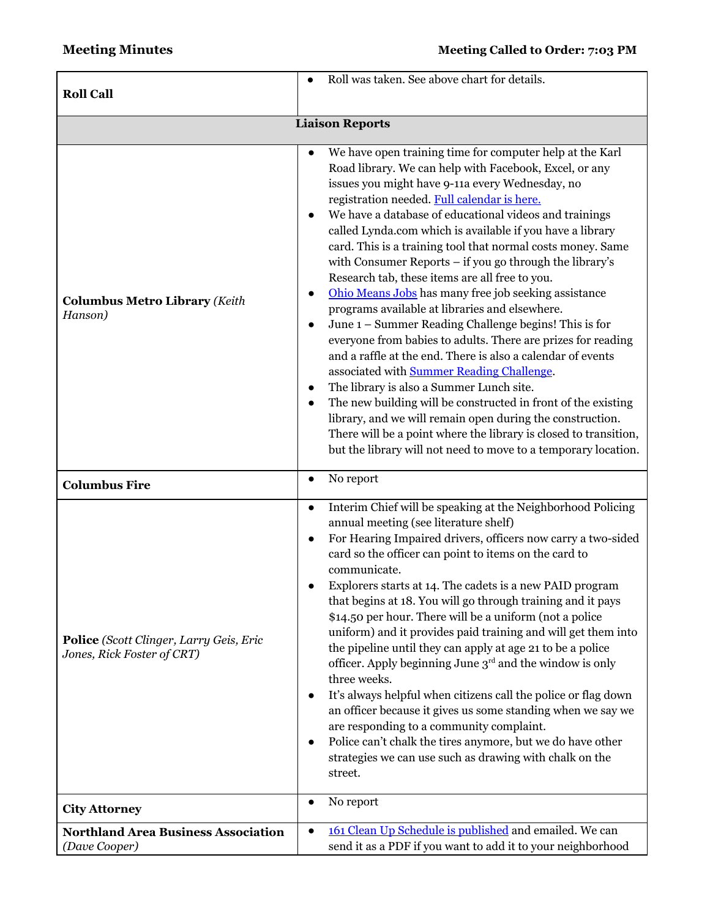| <b>Roll Call</b>                                                      | Roll was taken. See above chart for details.                                                                                                                                                                                                                                                                                                                                                                                                                                                                                                                                                                                                                                                                                                                                                                                                                                                                                                                                                                                                                                                                                                                                                   |  |  |  |  |  |
|-----------------------------------------------------------------------|------------------------------------------------------------------------------------------------------------------------------------------------------------------------------------------------------------------------------------------------------------------------------------------------------------------------------------------------------------------------------------------------------------------------------------------------------------------------------------------------------------------------------------------------------------------------------------------------------------------------------------------------------------------------------------------------------------------------------------------------------------------------------------------------------------------------------------------------------------------------------------------------------------------------------------------------------------------------------------------------------------------------------------------------------------------------------------------------------------------------------------------------------------------------------------------------|--|--|--|--|--|
| <b>Liaison Reports</b>                                                |                                                                                                                                                                                                                                                                                                                                                                                                                                                                                                                                                                                                                                                                                                                                                                                                                                                                                                                                                                                                                                                                                                                                                                                                |  |  |  |  |  |
| <b>Columbus Metro Library (Keith</b><br>Hanson)                       | We have open training time for computer help at the Karl<br>Road library. We can help with Facebook, Excel, or any<br>issues you might have 9-11a every Wednesday, no<br>registration needed. Full calendar is here.<br>We have a database of educational videos and trainings<br>called Lynda.com which is available if you have a library<br>card. This is a training tool that normal costs money. Same<br>with Consumer Reports - if you go through the library's<br>Research tab, these items are all free to you.<br>Ohio Means Jobs has many free job seeking assistance<br>programs available at libraries and elsewhere.<br>June 1 – Summer Reading Challenge begins! This is for<br>everyone from babies to adults. There are prizes for reading<br>and a raffle at the end. There is also a calendar of events<br>associated with <b>Summer Reading Challenge</b> .<br>The library is also a Summer Lunch site.<br>The new building will be constructed in front of the existing<br>library, and we will remain open during the construction.<br>There will be a point where the library is closed to transition,<br>but the library will not need to move to a temporary location. |  |  |  |  |  |
| <b>Columbus Fire</b>                                                  | No report                                                                                                                                                                                                                                                                                                                                                                                                                                                                                                                                                                                                                                                                                                                                                                                                                                                                                                                                                                                                                                                                                                                                                                                      |  |  |  |  |  |
| Police (Scott Clinger, Larry Geis, Eric<br>Jones, Rick Foster of CRT) | Interim Chief will be speaking at the Neighborhood Policing<br>$\bullet$<br>annual meeting (see literature shelf)<br>For Hearing Impaired drivers, officers now carry a two-sided<br>card so the officer can point to items on the card to<br>communicate.<br>Explorers starts at 14. The cadets is a new PAID program<br>that begins at 18. You will go through training and it pays<br>\$14.50 per hour. There will be a uniform (not a police<br>uniform) and it provides paid training and will get them into<br>the pipeline until they can apply at age 21 to be a police<br>officer. Apply beginning June $3rd$ and the window is only<br>three weeks.<br>It's always helpful when citizens call the police or flag down<br>$\bullet$<br>an officer because it gives us some standing when we say we<br>are responding to a community complaint.<br>Police can't chalk the tires anymore, but we do have other<br>strategies we can use such as drawing with chalk on the<br>street.                                                                                                                                                                                                    |  |  |  |  |  |
| <b>City Attorney</b>                                                  | No report<br>$\bullet$                                                                                                                                                                                                                                                                                                                                                                                                                                                                                                                                                                                                                                                                                                                                                                                                                                                                                                                                                                                                                                                                                                                                                                         |  |  |  |  |  |
| <b>Northland Area Business Association</b><br>(Dave Cooper)           | 161 Clean Up Schedule is published and emailed. We can<br>$\bullet$<br>send it as a PDF if you want to add it to your neighborhood                                                                                                                                                                                                                                                                                                                                                                                                                                                                                                                                                                                                                                                                                                                                                                                                                                                                                                                                                                                                                                                             |  |  |  |  |  |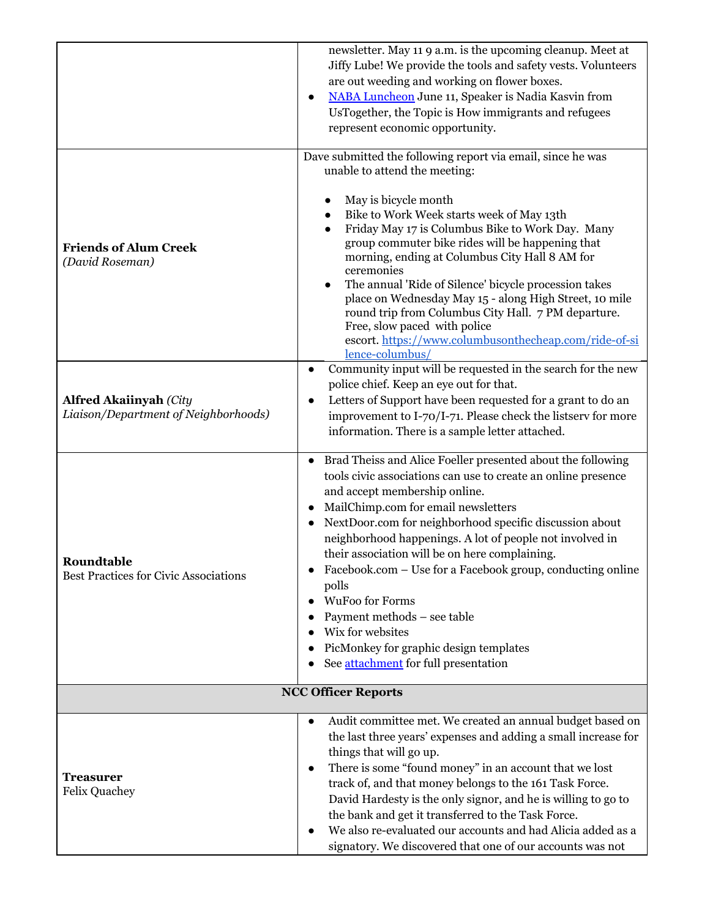|                                                                       | newsletter. May 11 9 a.m. is the upcoming cleanup. Meet at<br>Jiffy Lube! We provide the tools and safety vests. Volunteers<br>are out weeding and working on flower boxes.<br>NABA Luncheon June 11, Speaker is Nadia Kasvin from<br>UsTogether, the Topic is How immigrants and refugees<br>represent economic opportunity.                                                                                                                                                                                                                                                                                                   |  |  |  |  |
|-----------------------------------------------------------------------|---------------------------------------------------------------------------------------------------------------------------------------------------------------------------------------------------------------------------------------------------------------------------------------------------------------------------------------------------------------------------------------------------------------------------------------------------------------------------------------------------------------------------------------------------------------------------------------------------------------------------------|--|--|--|--|
| <b>Friends of Alum Creek</b><br>(David Roseman)                       | Dave submitted the following report via email, since he was<br>unable to attend the meeting:<br>May is bicycle month<br>Bike to Work Week starts week of May 13th<br>Friday May 17 is Columbus Bike to Work Day. Many<br>group commuter bike rides will be happening that<br>morning, ending at Columbus City Hall 8 AM for<br>ceremonies<br>The annual 'Ride of Silence' bicycle procession takes<br>place on Wednesday May 15 - along High Street, 10 mile<br>round trip from Columbus City Hall. 7 PM departure.<br>Free, slow paced with police<br>escort. https://www.columbusonthecheap.com/ride-of-si<br>lence-columbus/ |  |  |  |  |
| <b>Alfred Akaiinyah (City</b><br>Liaison/Department of Neighborhoods) | Community input will be requested in the search for the new<br>$\bullet$<br>police chief. Keep an eye out for that.<br>Letters of Support have been requested for a grant to do an<br>improvement to I-70/I-71. Please check the listserv for more<br>information. There is a sample letter attached.                                                                                                                                                                                                                                                                                                                           |  |  |  |  |
| Roundtable<br>Best Practices for Civic Associations                   | Brad Theiss and Alice Foeller presented about the following<br>tools civic associations can use to create an online presence<br>and accept membership online.<br>MailChimp.com for email newsletters<br>NextDoor.com for neighborhood specific discussion about<br>neighborhood happenings. A lot of people not involved in<br>their association will be on here complaining.<br>Facebook.com – Use for a Facebook group, conducting online<br>polls<br><b>WuFoo for Forms</b><br>Payment methods - see table<br>Wix for websites<br>PicMonkey for graphic design templates<br>See attachment for full presentation             |  |  |  |  |
| <b>NCC Officer Reports</b>                                            |                                                                                                                                                                                                                                                                                                                                                                                                                                                                                                                                                                                                                                 |  |  |  |  |
| <b>Treasurer</b><br><b>Felix Quachey</b>                              | Audit committee met. We created an annual budget based on<br>$\bullet$<br>the last three years' expenses and adding a small increase for<br>things that will go up.<br>There is some "found money" in an account that we lost<br>$\bullet$<br>track of, and that money belongs to the 161 Task Force.<br>David Hardesty is the only signor, and he is willing to go to<br>the bank and get it transferred to the Task Force.<br>We also re-evaluated our accounts and had Alicia added as a<br>signatory. We discovered that one of our accounts was not                                                                        |  |  |  |  |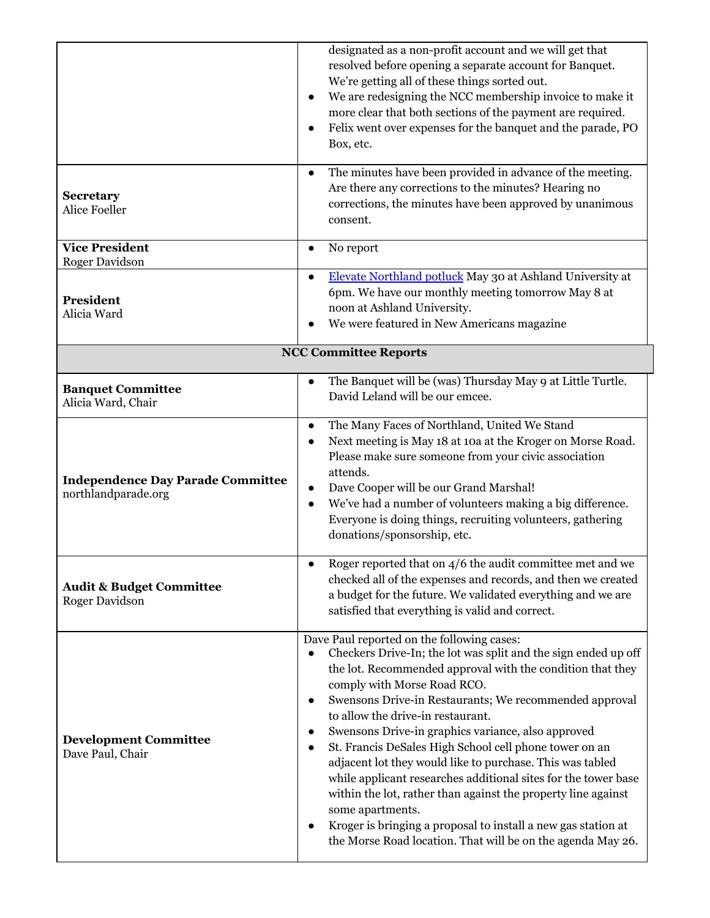|                                                                 | designated as a non-profit account and we will get that<br>resolved before opening a separate account for Banquet.<br>We're getting all of these things sorted out.<br>We are redesigning the NCC membership invoice to make it<br>more clear that both sections of the payment are required.<br>Felix went over expenses for the banquet and the parade, PO<br>Box, etc.                                                                                                                                                                                                                                                                                                                                                                                                                 |  |
|-----------------------------------------------------------------|-------------------------------------------------------------------------------------------------------------------------------------------------------------------------------------------------------------------------------------------------------------------------------------------------------------------------------------------------------------------------------------------------------------------------------------------------------------------------------------------------------------------------------------------------------------------------------------------------------------------------------------------------------------------------------------------------------------------------------------------------------------------------------------------|--|
| <b>Secretary</b><br><b>Alice Foeller</b>                        | The minutes have been provided in advance of the meeting.<br>Are there any corrections to the minutes? Hearing no<br>corrections, the minutes have been approved by unanimous<br>consent.                                                                                                                                                                                                                                                                                                                                                                                                                                                                                                                                                                                                 |  |
| <b>Vice President</b><br><b>Roger Davidson</b>                  | No report                                                                                                                                                                                                                                                                                                                                                                                                                                                                                                                                                                                                                                                                                                                                                                                 |  |
| President<br>Alicia Ward                                        | Elevate Northland potluck May 30 at Ashland University at<br>6pm. We have our monthly meeting tomorrow May 8 at<br>noon at Ashland University.<br>We were featured in New Americans magazine                                                                                                                                                                                                                                                                                                                                                                                                                                                                                                                                                                                              |  |
|                                                                 | <b>NCC Committee Reports</b>                                                                                                                                                                                                                                                                                                                                                                                                                                                                                                                                                                                                                                                                                                                                                              |  |
| <b>Banquet Committee</b><br>Alicia Ward, Chair                  | The Banquet will be (was) Thursday May 9 at Little Turtle.<br>David Leland will be our emcee.                                                                                                                                                                                                                                                                                                                                                                                                                                                                                                                                                                                                                                                                                             |  |
| <b>Independence Day Parade Committee</b><br>northlandparade.org | The Many Faces of Northland, United We Stand<br>Next meeting is May 18 at 10a at the Kroger on Morse Road.<br>$\bullet$<br>Please make sure someone from your civic association<br>attends.<br>Dave Cooper will be our Grand Marshal!<br>We've had a number of volunteers making a big difference.<br>$\bullet$<br>Everyone is doing things, recruiting volunteers, gathering<br>donations/sponsorship, etc.                                                                                                                                                                                                                                                                                                                                                                              |  |
| <b>Audit &amp; Budget Committee</b><br><b>Roger Davidson</b>    | Roger reported that on $4/6$ the audit committee met and we<br>checked all of the expenses and records, and then we created<br>a budget for the future. We validated everything and we are<br>satisfied that everything is valid and correct.                                                                                                                                                                                                                                                                                                                                                                                                                                                                                                                                             |  |
| <b>Development Committee</b><br>Dave Paul, Chair                | Dave Paul reported on the following cases:<br>Checkers Drive-In; the lot was split and the sign ended up off<br>the lot. Recommended approval with the condition that they<br>comply with Morse Road RCO.<br>Swensons Drive-in Restaurants; We recommended approval<br>to allow the drive-in restaurant.<br>Swensons Drive-in graphics variance, also approved<br>St. Francis DeSales High School cell phone tower on an<br>$\bullet$<br>adjacent lot they would like to purchase. This was tabled<br>while applicant researches additional sites for the tower base<br>within the lot, rather than against the property line against<br>some apartments.<br>Kroger is bringing a proposal to install a new gas station at<br>the Morse Road location. That will be on the agenda May 26. |  |